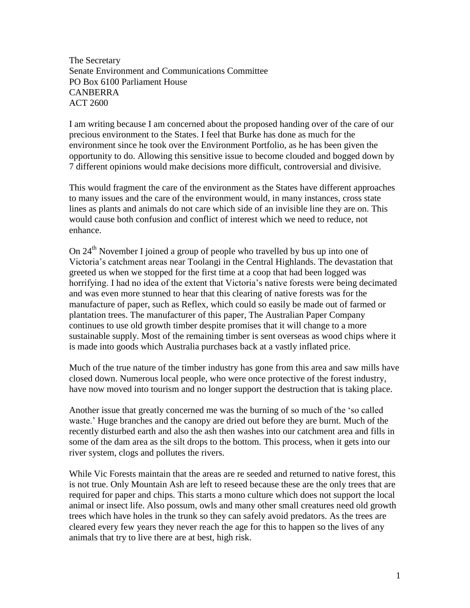The Secretary Senate Environment and Communications Committee PO Box 6100 Parliament House CANBERRA ACT 2600

I am writing because I am concerned about the proposed handing over of the care of our precious environment to the States. I feel that Burke has done as much for the environment since he took over the Environment Portfolio, as he has been given the opportunity to do. Allowing this sensitive issue to become clouded and bogged down by 7 different opinions would make decisions more difficult, controversial and divisive.

This would fragment the care of the environment as the States have different approaches to many issues and the care of the environment would, in many instances, cross state lines as plants and animals do not care which side of an invisible line they are on. This would cause both confusion and conflict of interest which we need to reduce, not enhance.

On 24th November I joined a group of people who travelled by bus up into one of Victoria's catchment areas near Toolangi in the Central Highlands. The devastation that greeted us when we stopped for the first time at a coop that had been logged was horrifying. I had no idea of the extent that Victoria's native forests were being decimated and was even more stunned to hear that this clearing of native forests was for the manufacture of paper, such as Reflex, which could so easily be made out of farmed or plantation trees. The manufacturer of this paper, The Australian Paper Company continues to use old growth timber despite promises that it will change to a more sustainable supply. Most of the remaining timber is sent overseas as wood chips where it is made into goods which Australia purchases back at a vastly inflated price.

Much of the true nature of the timber industry has gone from this area and saw mills have closed down. Numerous local people, who were once protective of the forest industry, have now moved into tourism and no longer support the destruction that is taking place.

Another issue that greatly concerned me was the burning of so much of the 'so called waste.' Huge branches and the canopy are dried out before they are burnt. Much of the recently disturbed earth and also the ash then washes into our catchment area and fills in some of the dam area as the silt drops to the bottom. This process, when it gets into our river system, clogs and pollutes the rivers.

While Vic Forests maintain that the areas are re seeded and returned to native forest, this is not true. Only Mountain Ash are left to reseed because these are the only trees that are required for paper and chips. This starts a mono culture which does not support the local animal or insect life. Also possum, owls and many other small creatures need old growth trees which have holes in the trunk so they can safely avoid predators. As the trees are cleared every few years they never reach the age for this to happen so the lives of any animals that try to live there are at best, high risk.